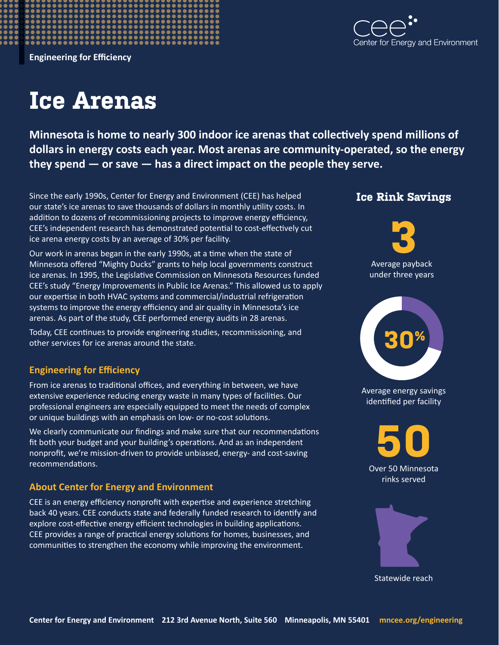

**Engineering for Efficiency**

## **Ice Arenas**

**Minnesota is home to nearly 300 indoor ice arenas that collectively spend millions of dollars in energy costs each year. Most arenas are community-operated, so the energy they spend — or save — has a direct impact on the people they serve.**

Since the early 1990s, Center for Energy and Environment (CEE) has helped **Ice Rink Savings** our state's ice arenas to save thousands of dollars in monthly utility costs. In addition to dozens of recommissioning projects to improve energy efficiency, CEE's independent research has demonstrated potential to cost-effectively cut ice arena energy costs by an average of 30% per facility.

Our work in arenas began in the early 1990s, at a time when the state of Minnesota offered "Mighty Ducks" grants to help local governments construct ice arenas. In 1995, the Legislative Commission on Minnesota Resources funded CEE's study "Energy Improvements in Public Ice Arenas." This allowed us to apply our expertise in both HVAC systems and commercial/industrial refrigeration systems to improve the energy efficiency and air quality in Minnesota's ice arenas. As part of the study, CEE performed energy audits in 28 arenas.

Today, CEE continues to provide engineering studies, recommissioning, and other services for ice arenas around the state.

## **Engineering for Efficiency**

From ice arenas to traditional offices, and everything in between, we have extensive experience reducing energy waste in many types of facilities. Our professional engineers are especially equipped to meet the needs of complex or unique buildings with an emphasis on low- or no-cost solutions.

We clearly communicate our findings and make sure that our recommendations fit both your budget and your building's operations. And as an independent nonprofit, we're mission-driven to provide unbiased, energy- and cost-saving recommendations.

## **About Center for Energy and Environment**

CEE is an energy efficiency nonprofit with expertise and experience stretching back 40 years. CEE conducts state and federally funded research to identify and explore cost-effective energy efficient technologies in building applications. CEE provides a range of practical energy solutions for homes, businesses, and communities to strengthen the economy while improving the environment.







Average energy savings identified per facility





Statewide reach